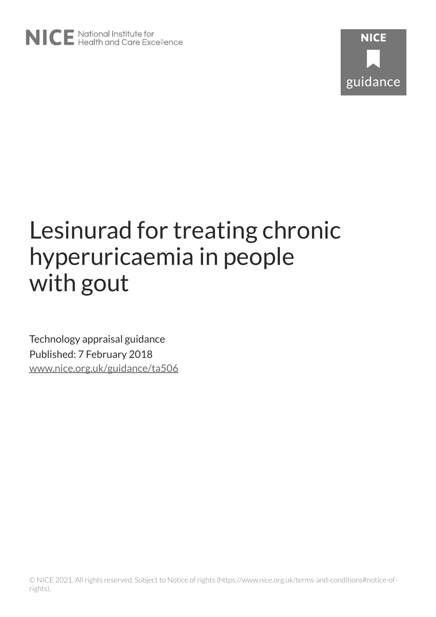# Lesinurad for treating chronic hyperuricaemia in people with gout

Technology appraisal guidance Published: 7 February 2018 [www.nice.org.uk/guidance/ta506](https://www.nice.org.uk/guidance/ta506)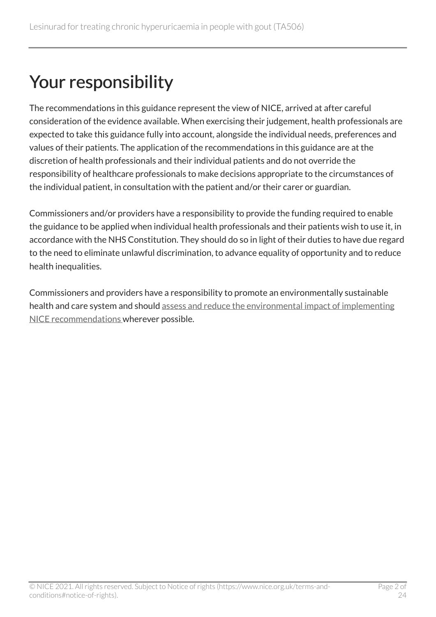## Your responsibility

The recommendations in this guidance represent the view of NICE, arrived at after careful consideration of the evidence available. When exercising their judgement, health professionals are expected to take this guidance fully into account, alongside the individual needs, preferences and values of their patients. The application of the recommendations in this guidance are at the discretion of health professionals and their individual patients and do not override the responsibility of healthcare professionals to make decisions appropriate to the circumstances of the individual patient, in consultation with the patient and/or their carer or guardian.

Commissioners and/or providers have a responsibility to provide the funding required to enable the guidance to be applied when individual health professionals and their patients wish to use it, in accordance with the NHS Constitution. They should do so in light of their duties to have due regard to the need to eliminate unlawful discrimination, to advance equality of opportunity and to reduce health inequalities.

Commissioners and providers have a responsibility to promote an environmentally sustainable health and care system and should [assess and reduce the environmental impact of implementing](https://www.nice.org.uk/about/who-we-are/sustainability)  [NICE recommendations w](https://www.nice.org.uk/about/who-we-are/sustainability)herever possible.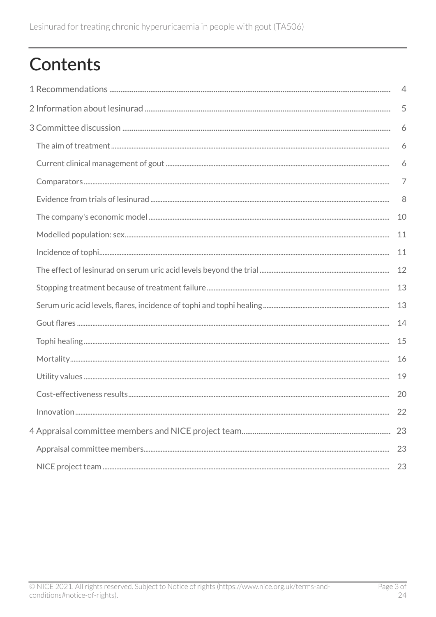# **Contents**

| $\overline{4}$ |    |
|----------------|----|
|                |    |
|                | 6  |
|                | 6  |
|                | 6  |
|                | 7  |
|                | 8  |
|                | 10 |
|                | 11 |
|                | 11 |
|                | 12 |
|                | 13 |
|                | 13 |
|                | 14 |
|                | 15 |
|                | 16 |
|                | 19 |
|                | 20 |
|                | 22 |
| 23             |    |
|                | 23 |
|                | 23 |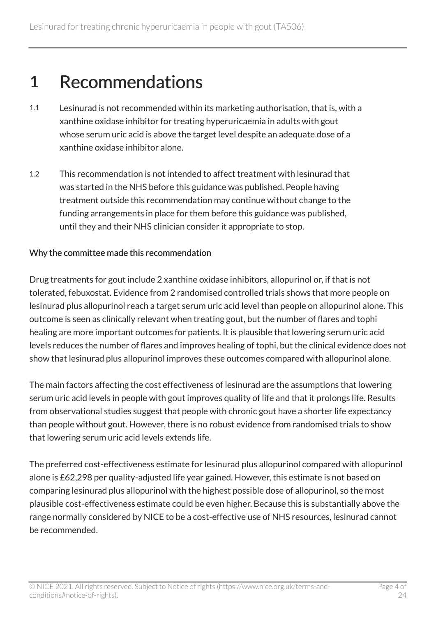### <span id="page-3-0"></span>1 Recommendations

- 1.1 Lesinurad is not recommended within its marketing authorisation, that is, with a xanthine oxidase inhibitor for treating hyperuricaemia in adults with gout whose serum uric acid is above the target level despite an adequate dose of a xanthine oxidase inhibitor alone.
- 1.2 This recommendation is not intended to affect treatment with lesinurad that was started in the NHS before this guidance was published. People having treatment outside this recommendation may continue without change to the funding arrangements in place for them before this guidance was published, until they and their NHS clinician consider it appropriate to stop.

#### Why the committee made this recommendation

Drug treatments for gout include 2 xanthine oxidase inhibitors, allopurinol or, if that is not tolerated, febuxostat. Evidence from 2 randomised controlled trials shows that more people on lesinurad plus allopurinol reach a target serum uric acid level than people on allopurinol alone. This outcome is seen as clinically relevant when treating gout, but the number of flares and tophi healing are more important outcomes for patients. It is plausible that lowering serum uric acid levels reduces the number of flares and improves healing of tophi, but the clinical evidence does not show that lesinurad plus allopurinol improves these outcomes compared with allopurinol alone.

The main factors affecting the cost effectiveness of lesinurad are the assumptions that lowering serum uric acid levels in people with gout improves quality of life and that it prolongs life. Results from observational studies suggest that people with chronic gout have a shorter life expectancy than people without gout. However, there is no robust evidence from randomised trials to show that lowering serum uric acid levels extends life.

The preferred cost-effectiveness estimate for lesinurad plus allopurinol compared with allopurinol alone is £62,298 per quality-adjusted life year gained. However, this estimate is not based on comparing lesinurad plus allopurinol with the highest possible dose of allopurinol, so the most plausible cost-effectiveness estimate could be even higher. Because this is substantially above the range normally considered by NICE to be a cost-effective use of NHS resources, lesinurad cannot be recommended.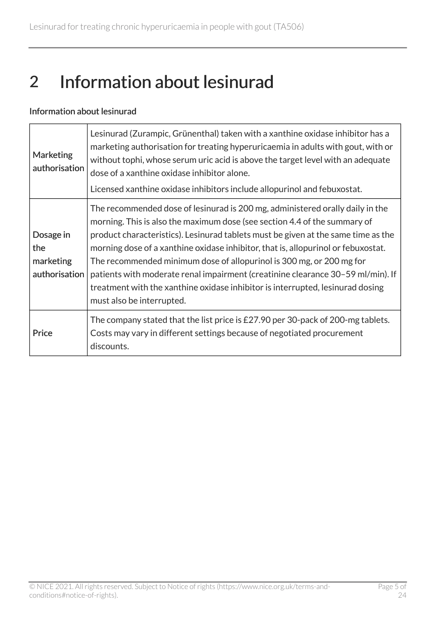## <span id="page-4-0"></span>2 Information about lesinurad

#### Information about lesinurad

| <b>Marketing</b><br>authorisation              | Lesinurad (Zurampic, Grünenthal) taken with a xanthine oxidase inhibitor has a<br>marketing authorisation for treating hyperuricaemia in adults with gout, with or<br>without tophi, whose serum uric acid is above the target level with an adequate<br>dose of a xanthine oxidase inhibitor alone.<br>Licensed xanthine oxidase inhibitors include allopurinol and febuxostat.                                                                                                                                                                                                                               |
|------------------------------------------------|----------------------------------------------------------------------------------------------------------------------------------------------------------------------------------------------------------------------------------------------------------------------------------------------------------------------------------------------------------------------------------------------------------------------------------------------------------------------------------------------------------------------------------------------------------------------------------------------------------------|
| Dosage in<br>the<br>marketing<br>authorisation | The recommended dose of lesinurad is 200 mg, administered orally daily in the<br>morning. This is also the maximum dose (see section 4.4 of the summary of<br>product characteristics). Lesinurad tablets must be given at the same time as the<br>morning dose of a xanthine oxidase inhibitor, that is, allopurinol or febuxostat.<br>The recommended minimum dose of allopurinol is 300 mg, or 200 mg for<br>patients with moderate renal impairment (creatinine clearance 30–59 ml/min). If<br>treatment with the xanthine oxidase inhibitor is interrupted, lesinurad dosing<br>must also be interrupted. |
| Price                                          | The company stated that the list price is £27.90 per 30-pack of 200-mg tablets.<br>Costs may vary in different settings because of negotiated procurement<br>discounts.                                                                                                                                                                                                                                                                                                                                                                                                                                        |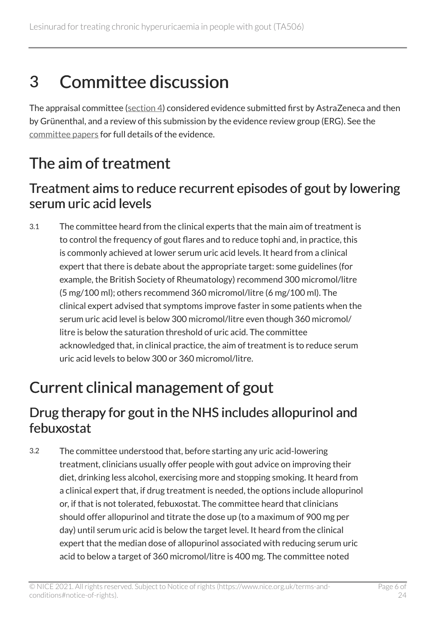## <span id="page-5-0"></span>3 Committee discussion

The appraisal committee ([section](#page-22-1) 4) considered evidence submitted first by AstraZeneca and then by Grünenthal, and a review of this submission by the evidence review group (ERG). See the [committee papers](https://www.nice.org.uk/guidance/ta506/evidence) for full details of the evidence.

### <span id="page-5-1"></span>The aim of treatment

#### <span id="page-5-4"></span>Treatment aims to reduce recurrent episodes of gout by lowering serum uric acid levels

3.1 The committee heard from the clinical experts that the main aim of treatment is to control the frequency of gout flares and to reduce tophi and, in practice, this is commonly achieved at lower serum uric acid levels. It heard from a clinical expert that there is debate about the appropriate target: some guidelines (for example, the British Society of Rheumatology) recommend 300 micromol/litre (5 mg/100 ml); others recommend 360 micromol/litre (6 mg/100 ml). The clinical expert advised that symptoms improve faster in some patients when the serum uric acid level is below 300 micromol/litre even though 360 micromol/ litre is below the saturation threshold of uric acid. The committee acknowledged that, in clinical practice, the aim of treatment is to reduce serum uric acid levels to below 300 or 360 micromol/litre.

### <span id="page-5-2"></span>Current clinical management of gout

#### <span id="page-5-3"></span>Drug therapy for gout in the NHS includes allopurinol and febuxostat

3.2 The committee understood that, before starting any uric acid-lowering treatment, clinicians usually offer people with gout advice on improving their diet, drinking less alcohol, exercising more and stopping smoking. It heard from a clinical expert that, if drug treatment is needed, the options include allopurinol or, if that is not tolerated, febuxostat. The committee heard that clinicians should offer allopurinol and titrate the dose up (to a maximum of 900 mg per day) until serum uric acid is below the target level. It heard from the clinical expert that the median dose of allopurinol associated with reducing serum uric acid to below a target of 360 micromol/litre is 400 mg. The committee noted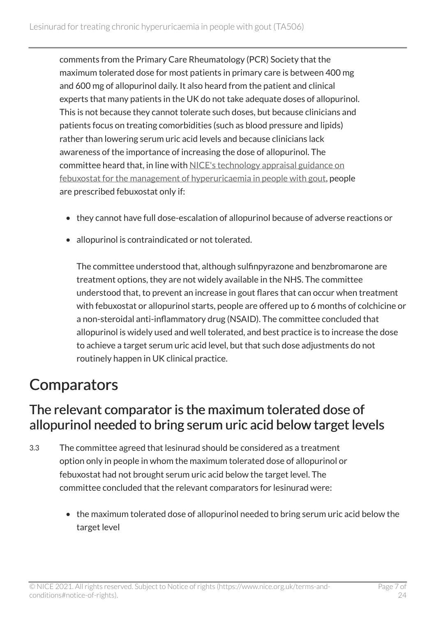comments from the Primary Care Rheumatology (PCR) Society that the maximum tolerated dose for most patients in primary care is between 400 mg and 600 mg of allopurinol daily. It also heard from the patient and clinical experts that many patients in the UK do not take adequate doses of allopurinol. This is not because they cannot tolerate such doses, but because clinicians and patients focus on treating comorbidities (such as blood pressure and lipids) rather than lowering serum uric acid levels and because clinicians lack awareness of the importance of increasing the dose of allopurinol. The committee heard that, in line with [NICE's technology appraisal guidance on](https://www.nice.org.uk/guidance/ta164) [febuxostat for the management of hyperuricaemia in people with gout](https://www.nice.org.uk/guidance/ta164), people are prescribed febuxostat only if:

- they cannot have full dose-escalation of allopurinol because of adverse reactions or
- allopurinol is contraindicated or not tolerated.

The committee understood that, although sulfinpyrazone and benzbromarone are treatment options, they are not widely available in the NHS. The committee understood that, to prevent an increase in gout flares that can occur when treatment with febuxostat or allopurinol starts, people are offered up to 6 months of colchicine or a non-steroidal anti-inflammatory drug (NSAID). The committee concluded that allopurinol is widely used and well tolerated, and best practice is to increase the dose to achieve a target serum uric acid level, but that such dose adjustments do not routinely happen in UK clinical practice.

### <span id="page-6-0"></span>**Comparators**

#### <span id="page-6-1"></span>The relevant comparator is the maximum tolerated dose of allopurinol needed to bring serum uric acid below target levels

- 3.3 The committee agreed that lesinurad should be considered as a treatment option only in people in whom the maximum tolerated dose of allopurinol or febuxostat had not brought serum uric acid below the target level. The committee concluded that the relevant comparators for lesinurad were:
	- the maximum tolerated dose of allopurinol needed to bring serum uric acid below the target level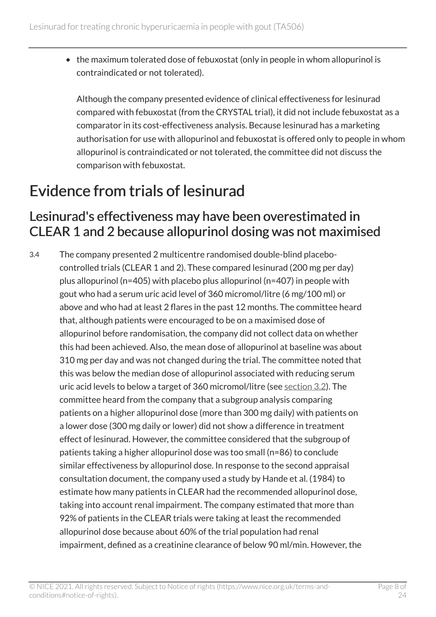• the maximum tolerated dose of febuxostat (only in people in whom allopurinol is contraindicated or not tolerated).

Although the company presented evidence of clinical effectiveness for lesinurad compared with febuxostat (from the CRYSTAL trial), it did not include febuxostat as a comparator in its cost-effectiveness analysis. Because lesinurad has a marketing authorisation for use with allopurinol and febuxostat is offered only to people in whom allopurinol is contraindicated or not tolerated, the committee did not discuss the comparison with febuxostat.

### <span id="page-7-0"></span>Evidence from trials of lesinurad

#### <span id="page-7-1"></span>Lesinurad's effectiveness may have been overestimated in CLEAR 1 and 2 because allopurinol dosing was not maximised

3.4 The company presented 2 multicentre randomised double-blind placebocontrolled trials (CLEAR 1 and 2). These compared lesinurad (200 mg per day) plus allopurinol (n=405) with placebo plus allopurinol (n=407) in people with gout who had a serum uric acid level of 360 micromol/litre (6 mg/100 ml) or above and who had at least 2 flares in the past 12 months. The committee heard that, although patients were encouraged to be on a maximised dose of allopurinol before randomisation, the company did not collect data on whether this had been achieved. Also, the mean dose of allopurinol at baseline was about 310 mg per day and was not changed during the trial. The committee noted that this was below the median dose of allopurinol associated with reducing serum uric acid levels to below a target of 360 micromol/litre (see [section](#page-5-3) 3.2). The committee heard from the company that a subgroup analysis comparing patients on a higher allopurinol dose (more than 300 mg daily) with patients on a lower dose (300 mg daily or lower) did not show a difference in treatment effect of lesinurad. However, the committee considered that the subgroup of patients taking a higher allopurinol dose was too small (n=86) to conclude similar effectiveness by allopurinol dose. In response to the second appraisal consultation document, the company used a study by Hande et al. (1984) to estimate how many patients in CLEAR had the recommended allopurinol dose, taking into account renal impairment. The company estimated that more than 92% of patients in the CLEAR trials were taking at least the recommended allopurinol dose because about 60% of the trial population had renal impairment, defined as a creatinine clearance of below 90 ml/min. However, the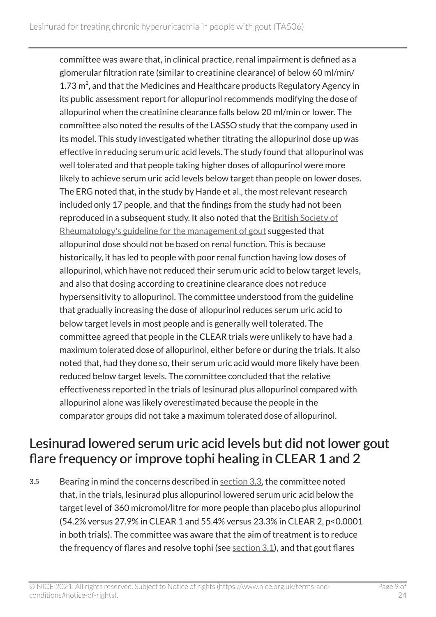committee was aware that, in clinical practice, renal impairment is defined as a glomerular filtration rate (similar to creatinine clearance) of below 60 ml/min/ 1.73 $\,$ <sup>2</sup>, and that the Medicines and Healthcare products Regulatory Agency in its public assessment report for allopurinol recommends modifying the dose of allopurinol when the creatinine clearance falls below 20 ml/min or lower. The committee also noted the results of the LASSO study that the company used in its model. This study investigated whether titrating the allopurinol dose up was effective in reducing serum uric acid levels. The study found that allopurinol was well tolerated and that people taking higher doses of allopurinol were more likely to achieve serum uric acid levels below target than people on lower doses. The ERG noted that, in the study by Hande et al., the most relevant research included only 17 people, and that the findings from the study had not been reproduced in a subsequent study. It also noted that the [British Society of](https://academic.oup.com/rheumatology/article-lookup/doi/10.1093/rheumatology/kex156)  [Rheumatology's guideline for the management of gout](https://academic.oup.com/rheumatology/article-lookup/doi/10.1093/rheumatology/kex156) suggested that allopurinol dose should not be based on renal function. This is because historically, it has led to people with poor renal function having low doses of allopurinol, which have not reduced their serum uric acid to below target levels, and also that dosing according to creatinine clearance does not reduce hypersensitivity to allopurinol. The committee understood from the guideline that gradually increasing the dose of allopurinol reduces serum uric acid to below target levels in most people and is generally well tolerated. The committee agreed that people in the CLEAR trials were unlikely to have had a maximum tolerated dose of allopurinol, either before or during the trials. It also noted that, had they done so, their serum uric acid would more likely have been reduced below target levels. The committee concluded that the relative effectiveness reported in the trials of lesinurad plus allopurinol compared with allopurinol alone was likely overestimated because the people in the comparator groups did not take a maximum tolerated dose of allopurinol.

#### <span id="page-8-0"></span>Lesinurad lowered serum uric acid levels but did not lower gout flare frequency or improve tophi healing in CLEAR 1 and 2

3.5 Bearing in mind the concerns described in [section](#page-6-1) 3.3, the committee noted that, in the trials, lesinurad plus allopurinol lowered serum uric acid below the target level of 360 micromol/litre for more people than placebo plus allopurinol (54.2% versus 27.9% in CLEAR 1 and 55.4% versus 23.3% in CLEAR 2, p<0.0001 in both trials). The committee was aware that the aim of treatment is to reduce the frequency of flares and resolve tophi (see  $section 3.1$ ), and that gout flares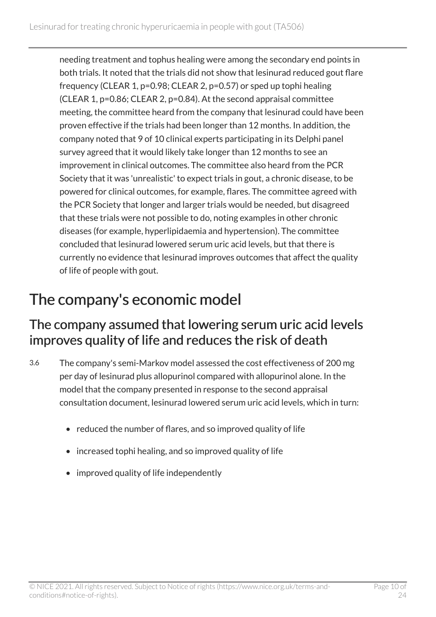needing treatment and tophus healing were among the secondary end points in both trials. It noted that the trials did not show that lesinurad reduced gout flare frequency (CLEAR 1, p=0.98; CLEAR 2, p=0.57) or sped up tophi healing (CLEAR 1, p=0.86; CLEAR 2, p=0.84). At the second appraisal committee meeting, the committee heard from the company that lesinurad could have been proven effective if the trials had been longer than 12 months. In addition, the company noted that 9 of 10 clinical experts participating in its Delphi panel survey agreed that it would likely take longer than 12 months to see an improvement in clinical outcomes. The committee also heard from the PCR Society that it was 'unrealistic' to expect trials in gout, a chronic disease, to be powered for clinical outcomes, for example, flares. The committee agreed with the PCR Society that longer and larger trials would be needed, but disagreed that these trials were not possible to do, noting examples in other chronic diseases (for example, hyperlipidaemia and hypertension). The committee concluded that lesinurad lowered serum uric acid levels, but that there is currently no evidence that lesinurad improves outcomes that affect the quality of life of people with gout.

### <span id="page-9-0"></span>The company's economic model

#### The company assumed that lowering serum uric acid levels improves quality of life and reduces the risk of death

- 3.6 The company's semi-Markov model assessed the cost effectiveness of 200 mg per day of lesinurad plus allopurinol compared with allopurinol alone. In the model that the company presented in response to the second appraisal consultation document, lesinurad lowered serum uric acid levels, which in turn:
	- reduced the number of flares, and so improved quality of life
	- increased tophi healing, and so improved quality of life
	- improved quality of life independently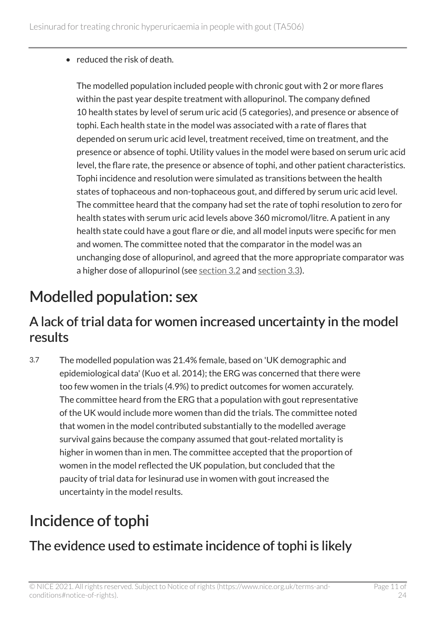• reduced the risk of death.

The modelled population included people with chronic gout with 2 or more flares within the past year despite treatment with allopurinol. The company defined 10 health states by level of serum uric acid (5 categories), and presence or absence of tophi. Each health state in the model was associated with a rate of flares that depended on serum uric acid level, treatment received, time on treatment, and the presence or absence of tophi. Utility values in the model were based on serum uric acid level, the flare rate, the presence or absence of tophi, and other patient characteristics. Tophi incidence and resolution were simulated as transitions between the health states of tophaceous and non-tophaceous gout, and differed by serum uric acid level. The committee heard that the company had set the rate of tophi resolution to zero for health states with serum uric acid levels above 360 micromol/litre. A patient in any health state could have a gout flare or die, and all model inputs were specific for men and women. The committee noted that the comparator in the model was an unchanging dose of allopurinol, and agreed that the more appropriate comparator was a higher dose of allopurinol (see [section](#page-5-3) 3.2 and [section](#page-6-1) 3.3).

### <span id="page-10-0"></span>Modelled population: sex

#### A lack of trial data for women increased uncertainty in the model results

3.7 The modelled population was 21.4% female, based on 'UK demographic and epidemiological data' (Kuo et al. 2014); the ERG was concerned that there were too few women in the trials (4.9%) to predict outcomes for women accurately. The committee heard from the ERG that a population with gout representative of the UK would include more women than did the trials. The committee noted that women in the model contributed substantially to the modelled average survival gains because the company assumed that gout-related mortality is higher in women than in men. The committee accepted that the proportion of women in the model reflected the UK population, but concluded that the paucity of trial data for lesinurad use in women with gout increased the uncertainty in the model results.

### <span id="page-10-1"></span>Incidence of tophi

### <span id="page-10-2"></span>The evidence used to estimate incidence of tophi is likely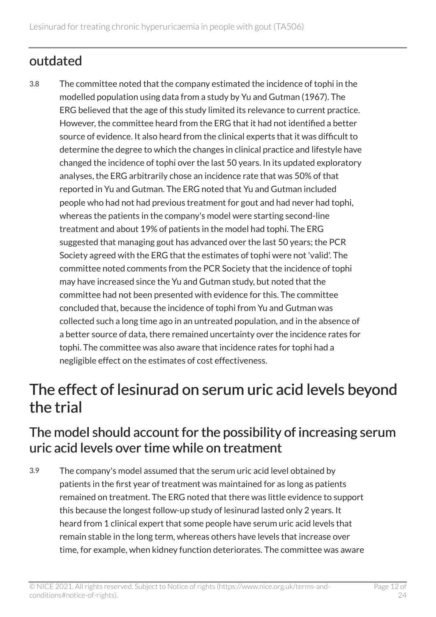### outdated

3.8 The committee noted that the company estimated the incidence of tophi in the modelled population using data from a study by Yu and Gutman (1967). The ERG believed that the age of this study limited its relevance to current practice. However, the committee heard from the ERG that it had not identified a better source of evidence. It also heard from the clinical experts that it was difficult to determine the degree to which the changes in clinical practice and lifestyle have changed the incidence of tophi over the last 50 years. In its updated exploratory analyses, the ERG arbitrarily chose an incidence rate that was 50% of that reported in Yu and Gutman. The ERG noted that Yu and Gutman included people who had not had previous treatment for gout and had never had tophi, whereas the patients in the company's model were starting second-line treatment and about 19% of patients in the model had tophi. The ERG suggested that managing gout has advanced over the last 50 years; the PCR Society agreed with the ERG that the estimates of tophi were not 'valid'. The committee noted comments from the PCR Society that the incidence of tophi may have increased since the Yu and Gutman study, but noted that the committee had not been presented with evidence for this. The committee concluded that, because the incidence of tophi from Yu and Gutman was collected such a long time ago in an untreated population, and in the absence of a better source of data, there remained uncertainty over the incidence rates for tophi. The committee was also aware that incidence rates for tophi had a negligible effect on the estimates of cost effectiveness.

### <span id="page-11-0"></span>The effect of lesinurad on serum uric acid levels beyond the trial

#### <span id="page-11-1"></span>The model should account for the possibility of increasing serum uric acid levels over time while on treatment

3.9 The company's model assumed that the serum uric acid level obtained by patients in the first year of treatment was maintained for as long as patients remained on treatment. The ERG noted that there was little evidence to support this because the longest follow-up study of lesinurad lasted only 2 years. It heard from 1 clinical expert that some people have serum uric acid levels that remain stable in the long term, whereas others have levels that increase over time, for example, when kidney function deteriorates. The committee was aware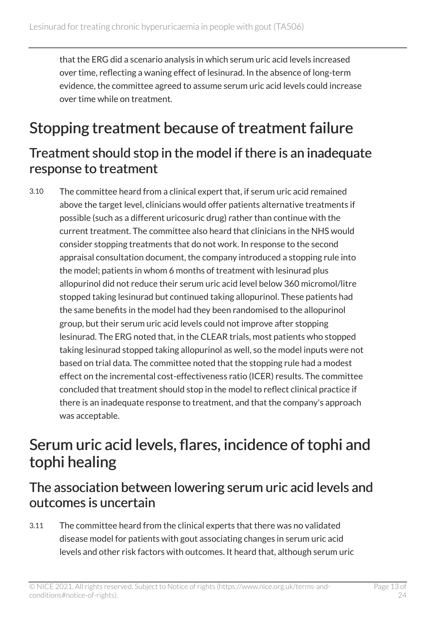that the ERG did a scenario analysis in which serum uric acid levels increased over time, reflecting a waning effect of lesinurad. In the absence of long-term evidence, the committee agreed to assume serum uric acid levels could increase over time while on treatment.

### <span id="page-12-0"></span>Stopping treatment because of treatment failure

#### Treatment should stop in the model if there is an inadequate response to treatment

3.10 The committee heard from a clinical expert that, if serum uric acid remained above the target level, clinicians would offer patients alternative treatments if possible (such as a different uricosuric drug) rather than continue with the current treatment. The committee also heard that clinicians in the NHS would consider stopping treatments that do not work. In response to the second appraisal consultation document, the company introduced a stopping rule into the model; patients in whom 6 months of treatment with lesinurad plus allopurinol did not reduce their serum uric acid level below 360 micromol/litre stopped taking lesinurad but continued taking allopurinol. These patients had the same benefits in the model had they been randomised to the allopurinol group, but their serum uric acid levels could not improve after stopping lesinurad. The ERG noted that, in the CLEAR trials, most patients who stopped taking lesinurad stopped taking allopurinol as well, so the model inputs were not based on trial data. The committee noted that the stopping rule had a modest effect on the incremental cost-effectiveness ratio (ICER) results. The committee concluded that treatment should stop in the model to reflect clinical practice if there is an inadequate response to treatment, and that the company's approach was acceptable.

### <span id="page-12-1"></span>Serum uric acid levels, flares, incidence of tophi and tophi healing

#### The association between lowering serum uric acid levels and outcomes is uncertain

3.11 The committee heard from the clinical experts that there was no validated disease model for patients with gout associating changes in serum uric acid levels and other risk factors with outcomes. It heard that, although serum uric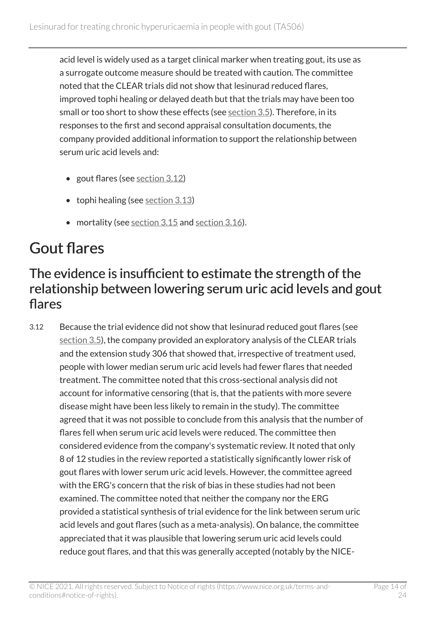acid level is widely used as a target clinical marker when treating gout, its use as a surrogate outcome measure should be treated with caution. The committee noted that the CLEAR trials did not show that lesinurad reduced flares, improved tophi healing or delayed death but that the trials may have been too small or too short to show these effects (see [section](#page-8-0) 3.5). Therefore, in its responses to the first and second appraisal consultation documents, the company provided additional information to support the relationship between serum uric acid levels and:

- gout flares (see [section](#page-13-1) 3.12)
- tophi healing (see [section](#page-14-1) 3.13)
- mortality (see [section](#page-16-1) 3.15 and section 3.16).

### <span id="page-13-0"></span>Gout flares

#### <span id="page-13-1"></span>The evidence is insufficient to estimate the strength of the relationship between lowering serum uric acid levels and gout flares

3.12 Because the trial evidence did not show that lesinurad reduced gout flares (see [section](#page-8-0) 3.5), the company provided an exploratory analysis of the CLEAR trials and the extension study 306 that showed that, irrespective of treatment used, people with lower median serum uric acid levels had fewer flares that needed treatment. The committee noted that this cross-sectional analysis did not account for informative censoring (that is, that the patients with more severe disease might have been less likely to remain in the study). The committee agreed that it was not possible to conclude from this analysis that the number of flares fell when serum uric acid levels were reduced. The committee then considered evidence from the company's systematic review. It noted that only 8 of 12 studies in the review reported a statistically significantly lower risk of gout flares with lower serum uric acid levels. However, the committee agreed with the ERG's concern that the risk of bias in these studies had not been examined. The committee noted that neither the company nor the ERG provided a statistical synthesis of trial evidence for the link between serum uric acid levels and gout flares (such as a meta-analysis). On balance, the committee appreciated that it was plausible that lowering serum uric acid levels could reduce gout flares, and that this was generally accepted (notably by the NICE-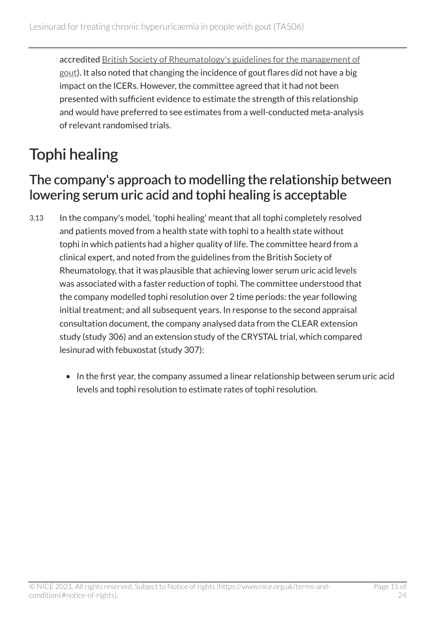accredited [British Society of Rheumatology's guidelines for the management of](https://academic.oup.com/rheumatology/article/56/7/e1/3855179)  [gout](https://academic.oup.com/rheumatology/article/56/7/e1/3855179)). It also noted that changing the incidence of gout flares did not have a big impact on the ICERs. However, the committee agreed that it had not been presented with sufficient evidence to estimate the strength of this relationship and would have preferred to see estimates from a well-conducted meta-analysis of relevant randomised trials.

## <span id="page-14-0"></span>Tophi healing

#### <span id="page-14-1"></span>The company's approach to modelling the relationship between lowering serum uric acid and tophi healing is acceptable

- 3.13 In the company's model, 'tophi healing' meant that all tophi completely resolved and patients moved from a health state with tophi to a health state without tophi in which patients had a higher quality of life. The committee heard from a clinical expert, and noted from the guidelines from the British Society of Rheumatology, that it was plausible that achieving lower serum uric acid levels was associated with a faster reduction of tophi. The committee understood that the company modelled tophi resolution over 2 time periods: the year following initial treatment; and all subsequent years. In response to the second appraisal consultation document, the company analysed data from the CLEAR extension study (study 306) and an extension study of the CRYSTAL trial, which compared lesinurad with febuxostat (study 307):
	- In the first year, the company assumed a linear relationship between serum uric acid levels and tophi resolution to estimate rates of tophi resolution.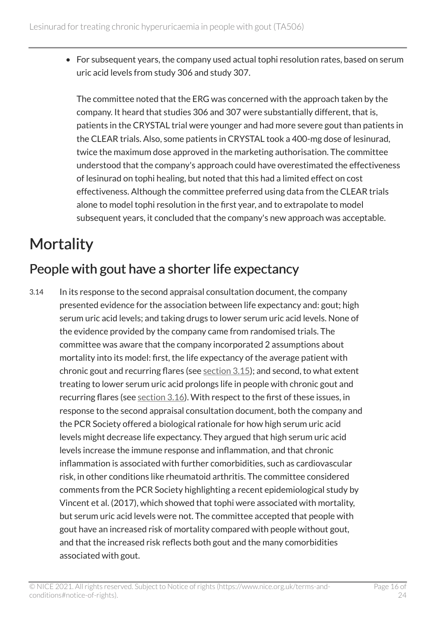• For subsequent years, the company used actual tophi resolution rates, based on serum uric acid levels from study 306 and study 307.

The committee noted that the ERG was concerned with the approach taken by the company. It heard that studies 306 and 307 were substantially different, that is, patients in the CRYSTAL trial were younger and had more severe gout than patients in the CLEAR trials. Also, some patients in CRYSTAL took a 400-mg dose of lesinurad, twice the maximum dose approved in the marketing authorisation. The committee understood that the company's approach could have overestimated the effectiveness of lesinurad on tophi healing, but noted that this had a limited effect on cost effectiveness. Although the committee preferred using data from the CLEAR trials alone to model tophi resolution in the first year, and to extrapolate to model subsequent years, it concluded that the company's new approach was acceptable.

### <span id="page-15-0"></span>**Mortality**

### People with gout have a shorter life expectancy

3.14 In its response to the second appraisal consultation document, the company presented evidence for the association between life expectancy and: gout; high serum uric acid levels; and taking drugs to lower serum uric acid levels. None of the evidence provided by the company came from randomised trials. The committee was aware that the company incorporated 2 assumptions about mortality into its model: first, the life expectancy of the average patient with chronic gout and recurring flares (see [section](#page-16-0) 3.15); and second, to what extent treating to lower serum uric acid prolongs life in people with chronic gout and recurring flares (see [section](#page-16-1) 3.16). With respect to the first of these issues, in response to the second appraisal consultation document, both the company and the PCR Society offered a biological rationale for how high serum uric acid levels might decrease life expectancy. They argued that high serum uric acid levels increase the immune response and inflammation, and that chronic inflammation is associated with further comorbidities, such as cardiovascular risk, in other conditions like rheumatoid arthritis. The committee considered comments from the PCR Society highlighting a recent epidemiological study by Vincent et al. (2017), which showed that tophi were associated with mortality, but serum uric acid levels were not. The committee accepted that people with gout have an increased risk of mortality compared with people without gout, and that the increased risk reflects both gout and the many comorbidities associated with gout.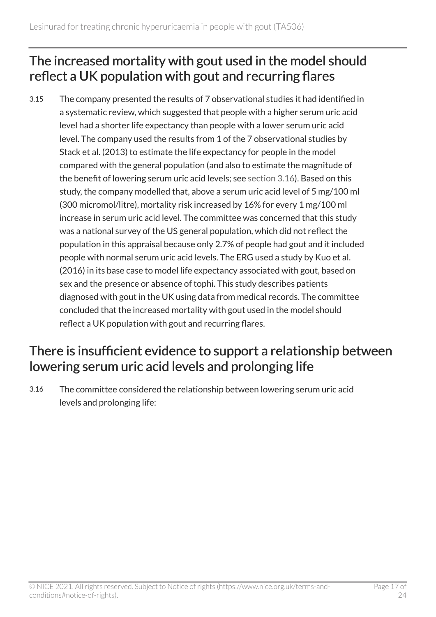#### <span id="page-16-0"></span>The increased mortality with gout used in the model should reflect a UK population with gout and recurring flares

3.15 The company presented the results of 7 observational studies it had identified in a systematic review, which suggested that people with a higher serum uric acid level had a shorter life expectancy than people with a lower serum uric acid level. The company used the results from 1 of the 7 observational studies by Stack et al. (2013) to estimate the life expectancy for people in the model compared with the general population (and also to estimate the magnitude of the benefit of lowering serum uric acid levels; see [section](#page-16-1) 3.16). Based on this study, the company modelled that, above a serum uric acid level of 5 mg/100 ml (300 micromol/litre), mortality risk increased by 16% for every 1 mg/100 ml increase in serum uric acid level. The committee was concerned that this study was a national survey of the US general population, which did not reflect the population in this appraisal because only 2.7% of people had gout and it included people with normal serum uric acid levels. The ERG used a study by Kuo et al. (2016) in its base case to model life expectancy associated with gout, based on sex and the presence or absence of tophi. This study describes patients diagnosed with gout in the UK using data from medical records. The committee concluded that the increased mortality with gout used in the model should reflect a UK population with gout and recurring flares.

#### <span id="page-16-1"></span>There is insufficient evidence to support a relationship between lowering serum uric acid levels and prolonging life

3.16 The committee considered the relationship between lowering serum uric acid levels and prolonging life: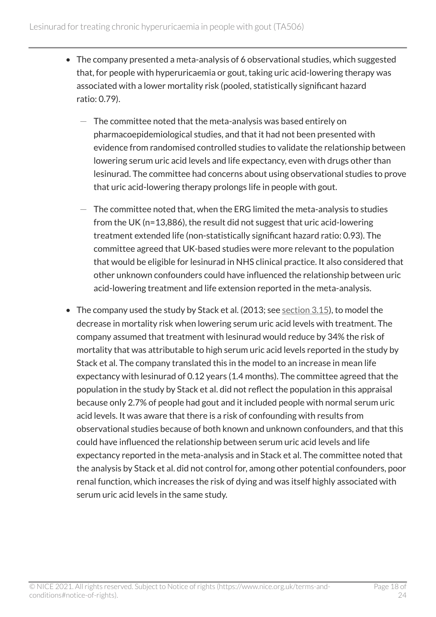- The company presented a meta-analysis of 6 observational studies, which suggested that, for people with hyperuricaemia or gout, taking uric acid-lowering therapy was associated with a lower mortality risk (pooled, statistically significant hazard ratio: 0.79).
	- The committee noted that the meta-analysis was based entirely on pharmacoepidemiological studies, and that it had not been presented with evidence from randomised controlled studies to validate the relationship between lowering serum uric acid levels and life expectancy, even with drugs other than lesinurad. The committee had concerns about using observational studies to prove that uric acid-lowering therapy prolongs life in people with gout.
	- $-$  The committee noted that, when the ERG limited the meta-analysis to studies from the UK (n=13,886), the result did not suggest that uric acid-lowering treatment extended life (non-statistically significant hazard ratio: 0.93). The committee agreed that UK-based studies were more relevant to the population that would be eligible for lesinurad in NHS clinical practice. It also considered that other unknown confounders could have influenced the relationship between uric acid-lowering treatment and life extension reported in the meta-analysis.
- The company used the study by Stack et al. (2013; see [section](#page-16-0)  $3.15$ ), to model the decrease in mortality risk when lowering serum uric acid levels with treatment. The company assumed that treatment with lesinurad would reduce by 34% the risk of mortality that was attributable to high serum uric acid levels reported in the study by Stack et al. The company translated this in the model to an increase in mean life expectancy with lesinurad of 0.12 years (1.4 months). The committee agreed that the population in the study by Stack et al. did not reflect the population in this appraisal because only 2.7% of people had gout and it included people with normal serum uric acid levels. It was aware that there is a risk of confounding with results from observational studies because of both known and unknown confounders, and that this could have influenced the relationship between serum uric acid levels and life expectancy reported in the meta-analysis and in Stack et al. The committee noted that the analysis by Stack et al. did not control for, among other potential confounders, poor renal function, which increases the risk of dying and was itself highly associated with serum uric acid levels in the same study.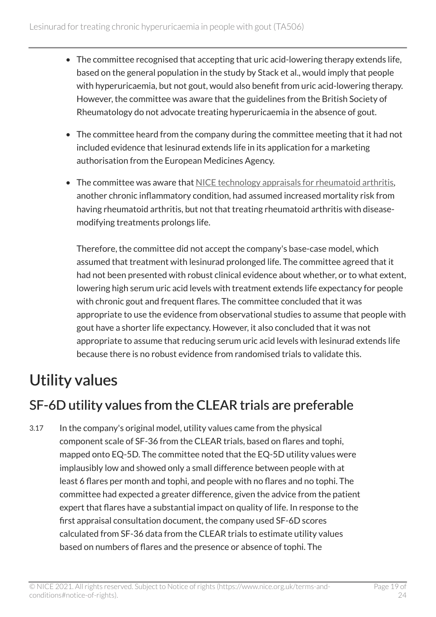- The committee recognised that accepting that uric acid-lowering therapy extends life, based on the general population in the study by Stack et al., would imply that people with hyperuricaemia, but not gout, would also benefit from uric acid-lowering therapy. However, the committee was aware that the guidelines from the British Society of Rheumatology do not advocate treating hyperuricaemia in the absence of gout.
- The committee heard from the company during the committee meeting that it had not included evidence that lesinurad extends life in its application for a marketing authorisation from the European Medicines Agency.
- The committee was aware that [NICE technology appraisals for rheumatoid arthritis,](https://www.nice.org.uk/guidance/conditions-and-diseases/musculoskeletal-conditions/arthritis/products?GuidanceProgramme=TA) another chronic inflammatory condition, had assumed increased mortality risk from having rheumatoid arthritis, but not that treating rheumatoid arthritis with diseasemodifying treatments prolongs life.

Therefore, the committee did not accept the company's base-case model, which assumed that treatment with lesinurad prolonged life. The committee agreed that it had not been presented with robust clinical evidence about whether, or to what extent, lowering high serum uric acid levels with treatment extends life expectancy for people with chronic gout and frequent flares. The committee concluded that it was appropriate to use the evidence from observational studies to assume that people with gout have a shorter life expectancy. However, it also concluded that it was not appropriate to assume that reducing serum uric acid levels with lesinurad extends life because there is no robust evidence from randomised trials to validate this.

## <span id="page-18-0"></span>Utility values

### <span id="page-18-1"></span>SF-6D utility values from the CLEAR trials are preferable

3.17 In the company's original model, utility values came from the physical component scale of SF-36 from the CLEAR trials, based on flares and tophi, mapped onto EQ-5D. The committee noted that the EQ-5D utility values were implausibly low and showed only a small difference between people with at least 6 flares per month and tophi, and people with no flares and no tophi. The committee had expected a greater difference, given the advice from the patient expert that flares have a substantial impact on quality of life. In response to the first appraisal consultation document, the company used SF-6D scores calculated from SF-36 data from the CLEAR trials to estimate utility values based on numbers of flares and the presence or absence of tophi. The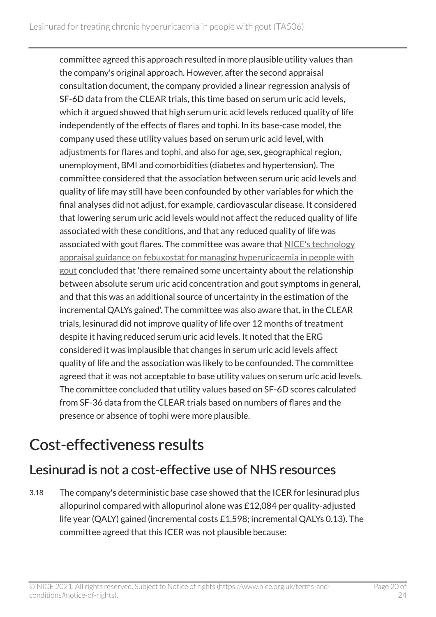committee agreed this approach resulted in more plausible utility values than the company's original approach. However, after the second appraisal consultation document, the company provided a linear regression analysis of SF-6D data from the CLEAR trials, this time based on serum uric acid levels, which it argued showed that high serum uric acid levels reduced quality of life independently of the effects of flares and tophi. In its base-case model, the company used these utility values based on serum uric acid level, with adjustments for flares and tophi, and also for age, sex, geographical region, unemployment, BMI and comorbidities (diabetes and hypertension). The committee considered that the association between serum uric acid levels and quality of life may still have been confounded by other variables for which the final analyses did not adjust, for example, cardiovascular disease. It considered that lowering serum uric acid levels would not affect the reduced quality of life associated with these conditions, and that any reduced quality of life was associated with gout flares. The committee was aware that [NICE's technology](https://www.nice.org.uk/guidance/ta164)  [appraisal guidance on febuxostat for managing hyperuricaemia in people with](https://www.nice.org.uk/guidance/ta164) [gout](https://www.nice.org.uk/guidance/ta164) concluded that 'there remained some uncertainty about the relationship between absolute serum uric acid concentration and gout symptoms in general, and that this was an additional source of uncertainty in the estimation of the incremental QALYs gained'. The committee was also aware that, in the CLEAR trials, lesinurad did not improve quality of life over 12 months of treatment despite it having reduced serum uric acid levels. It noted that the ERG considered it was implausible that changes in serum uric acid levels affect quality of life and the association was likely to be confounded. The committee agreed that it was not acceptable to base utility values on serum uric acid levels. The committee concluded that utility values based on SF-6D scores calculated from SF-36 data from the CLEAR trials based on numbers of flares and the presence or absence of tophi were more plausible.

### <span id="page-19-0"></span>Cost-effectiveness results

#### Lesinurad is not a cost-effective use of NHS resources

3.18 The company's deterministic base case showed that the ICER for lesinurad plus allopurinol compared with allopurinol alone was £12,084 per quality-adjusted life year (QALY) gained (incremental costs £1,598; incremental QALYs 0.13). The committee agreed that this ICER was not plausible because:

© NICE 2021. All rights reserved. Subject to Notice of rights (https://www.nice.org.uk/terms-andconditions#notice-of-rights).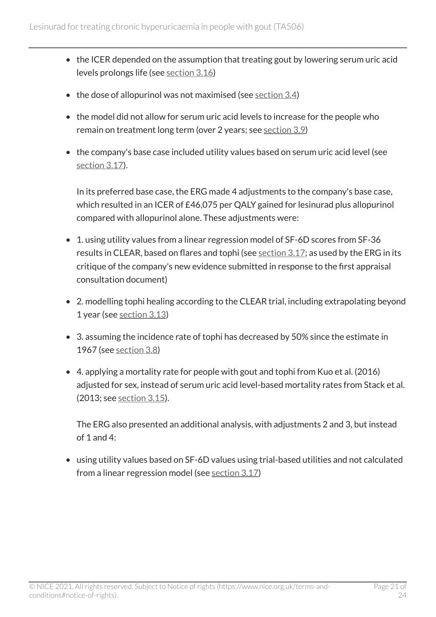- the ICER depended on the assumption that treating gout by lowering serum uric acid levels prolongs life (see [section](#page-16-1) 3.16)
- $\bullet$  the dose of allopurinol was not maximised (see [section](#page-7-1) 3.4)
- the model did not allow for serum uric acid levels to increase for the people who remain on treatment long term (over 2 years; see [section](#page-11-1) 3.9)
- the company's base case included utility values based on serum uric acid level (see [section](#page-18-1) 3.17).

In its preferred base case, the ERG made 4 adjustments to the company's base case, which resulted in an ICER of £46,075 per QALY gained for lesinurad plus allopurinol compared with allopurinol alone. These adjustments were:

- 1. using utility values from a linear regression model of SF-6D scores from SF-36 results in CLEAR, based on flares and tophi (see [section](#page-18-1) 3.17; as used by the ERG in its critique of the company's new evidence submitted in response to the first appraisal consultation document)
- 2. modelling tophi healing according to the CLEAR trial, including extrapolating beyond 1 year (see [section](#page-14-1) 3.13)
- 3. assuming the incidence rate of tophi has decreased by 50% since the estimate in 1967 (see [section](#page-10-2) 3.8)
- 4. applying a mortality rate for people with gout and tophi from Kuo et al. (2016) adjusted for sex, instead of serum uric acid level-based mortality rates from Stack et al. (2013; see [section](#page-16-0) 3.15).

The ERG also presented an additional analysis, with adjustments 2 and 3, but instead of 1 and 4:

• using utility values based on SF-6D values using trial-based utilities and not calculated from a linear regression model (see [section](#page-18-1) 3.17)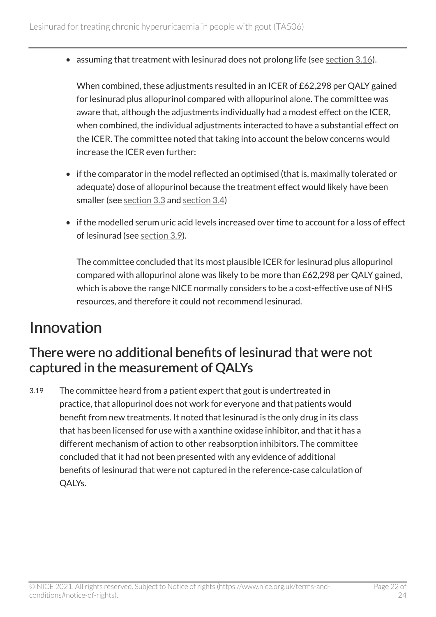• assuming that treatment with lesinurad does not prolong life (see [section](#page-16-1) 3.16).

When combined, these adjustments resulted in an ICER of £62,298 per QALY gained for lesinurad plus allopurinol compared with allopurinol alone. The committee was aware that, although the adjustments individually had a modest effect on the ICER, when combined, the individual adjustments interacted to have a substantial effect on the ICER. The committee noted that taking into account the below concerns would increase the ICER even further:

- if the comparator in the model reflected an optimised (that is, maximally tolerated or adequate) dose of allopurinol because the treatment effect would likely have been smaller (see [section](#page-6-1) 3.3 and [section](#page-7-1) 3.4)
- if the modelled serum uric acid levels increased over time to account for a loss of effect of lesinurad (see [section](#page-11-1) 3.9).

The committee concluded that its most plausible ICER for lesinurad plus allopurinol compared with allopurinol alone was likely to be more than £62,298 per QALY gained, which is above the range NICE normally considers to be a cost-effective use of NHS resources, and therefore it could not recommend lesinurad.

### <span id="page-21-0"></span>Innovation

#### There were no additional benefits of lesinurad that were not captured in the measurement of QALYs

3.19 The committee heard from a patient expert that gout is undertreated in practice, that allopurinol does not work for everyone and that patients would benefit from new treatments. It noted that lesinurad is the only drug in its class that has been licensed for use with a xanthine oxidase inhibitor, and that it has a different mechanism of action to other reabsorption inhibitors. The committee concluded that it had not been presented with any evidence of additional benefits of lesinurad that were not captured in the reference-case calculation of QALYs.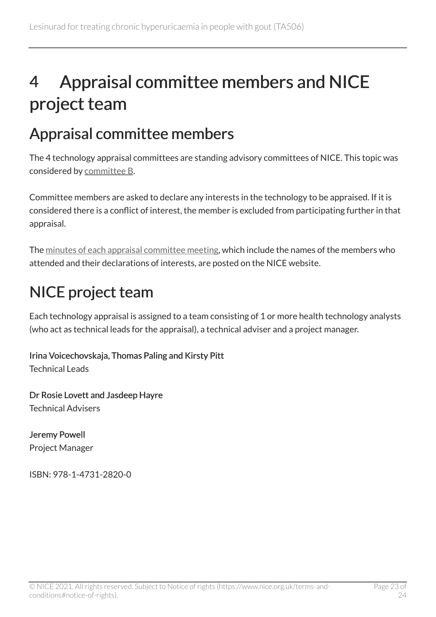## <span id="page-22-0"></span>4 Appraisal committee members and NICE project team

### <span id="page-22-1"></span>Appraisal committee members

The 4 technology appraisal committees are standing advisory committees of NICE. This topic was considered by [committee](https://www.nice.org.uk/Get-Involved/Meetings-in-public/Technology-appraisal-Committee/Committee-B-Members) B.

Committee members are asked to declare any interests in the technology to be appraised. If it is considered there is a conflict of interest, the member is excluded from participating further in that appraisal.

The [minutes of each appraisal committee meeting](https://www.nice.org.uk/get-involved/meetings-in-public/technology-appraisal-committee), which include the names of the members who attended and their declarations of interests, are posted on the NICE website.

### <span id="page-22-2"></span>NICE project team

Each technology appraisal is assigned to a team consisting of 1 or more health technology analysts (who act as technical leads for the appraisal), a technical adviser and a project manager.

Irina Voicechovskaja, Thomas Paling and Kirsty Pitt Technical Leads

Dr Rosie Lovett and Jasdeep Hayre Technical Advisers

Jeremy Powell Project Manager

ISBN: 978-1-4731-2820-0